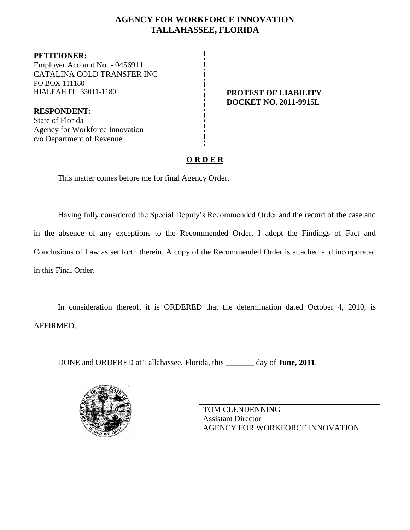# **AGENCY FOR WORKFORCE INNOVATION TALLAHASSEE, FLORIDA**

**PETITIONER:** Employer Account No. - 0456911 CATALINA COLD TRANSFER INC PO BOX 111180 HIALEAH FL 33011-1180 **PROTEST OF LIABILITY**

**RESPONDENT:** State of Florida Agency for Workforce Innovation c/o Department of Revenue

# **DOCKET NO. 2011-9915L**

# **O R D E R**

This matter comes before me for final Agency Order.

Having fully considered the Special Deputy's Recommended Order and the record of the case and in the absence of any exceptions to the Recommended Order, I adopt the Findings of Fact and Conclusions of Law as set forth therein. A copy of the Recommended Order is attached and incorporated in this Final Order.

In consideration thereof, it is ORDERED that the determination dated October 4, 2010, is AFFIRMED.

DONE and ORDERED at Tallahassee, Florida, this **\_\_\_\_\_\_\_** day of **June, 2011**.



TOM CLENDENNING Assistant Director AGENCY FOR WORKFORCE INNOVATION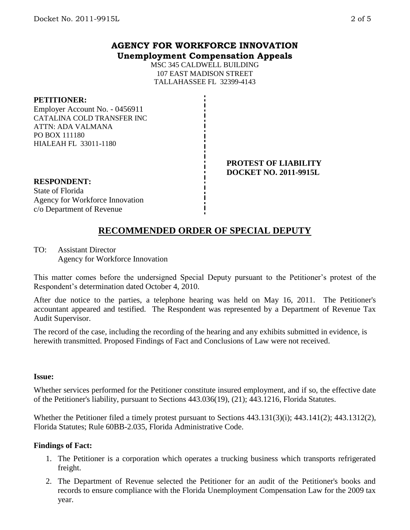## **AGENCY FOR WORKFORCE INNOVATION Unemployment Compensation Appeals**

MSC 345 CALDWELL BUILDING 107 EAST MADISON STREET TALLAHASSEE FL 32399-4143

#### **PETITIONER:**

Employer Account No. - 0456911 CATALINA COLD TRANSFER INC ATTN: ADA VALMANA PO BOX 111180 HIALEAH FL 33011-1180

#### **PROTEST OF LIABILITY DOCKET NO. 2011-9915L**

# **RESPONDENT:** State of Florida

Agency for Workforce Innovation c/o Department of Revenue

# **RECOMMENDED ORDER OF SPECIAL DEPUTY**

TO: Assistant Director Agency for Workforce Innovation

This matter comes before the undersigned Special Deputy pursuant to the Petitioner's protest of the Respondent's determination dated October 4, 2010.

After due notice to the parties, a telephone hearing was held on May 16, 2011. The Petitioner's accountant appeared and testified. The Respondent was represented by a Department of Revenue Tax Audit Supervisor.

The record of the case, including the recording of the hearing and any exhibits submitted in evidence, is herewith transmitted. Proposed Findings of Fact and Conclusions of Law were not received.

### **Issue:**

Whether services performed for the Petitioner constitute insured employment, and if so, the effective date of the Petitioner's liability, pursuant to Sections 443.036(19), (21); 443.1216, Florida Statutes.

Whether the Petitioner filed a timely protest pursuant to Sections 443.131(3)(i); 443.141(2); 443.1312(2), Florida Statutes; Rule 60BB-2.035, Florida Administrative Code.

### **Findings of Fact:**

- 1. The Petitioner is a corporation which operates a trucking business which transports refrigerated freight.
- 2. The Department of Revenue selected the Petitioner for an audit of the Petitioner's books and records to ensure compliance with the Florida Unemployment Compensation Law for the 2009 tax year.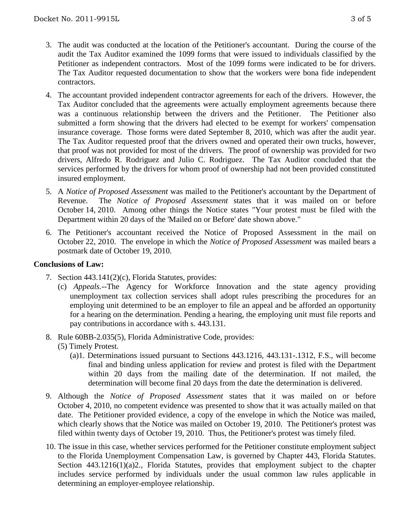- 3. The audit was conducted at the location of the Petitioner's accountant. During the course of the audit the Tax Auditor examined the 1099 forms that were issued to individuals classified by the Petitioner as independent contractors. Most of the 1099 forms were indicated to be for drivers. The Tax Auditor requested documentation to show that the workers were bona fide independent contractors.
- 4. The accountant provided independent contractor agreements for each of the drivers. However, the Tax Auditor concluded that the agreements were actually employment agreements because there was a continuous relationship between the drivers and the Petitioner. The Petitioner also submitted a form showing that the drivers had elected to be exempt for workers' compensation insurance coverage. Those forms were dated September 8, 2010, which was after the audit year. The Tax Auditor requested proof that the drivers owned and operated their own trucks, however, that proof was not provided for most of the drivers. The proof of ownership was provided for two drivers, Alfredo R. Rodriguez and Julio C. Rodriguez. The Tax Auditor concluded that the services performed by the drivers for whom proof of ownership had not been provided constituted insured employment.
- 5. A *Notice of Proposed Assessment* was mailed to the Petitioner's accountant by the Department of Revenue. The *Notice of Proposed Assessment* states that it was mailed on or before October 14, 2010. Among other things the Notice states "Your protest must be filed with the Department within 20 days of the 'Mailed on or Before' date shown above."
- 6. The Petitioner's accountant received the Notice of Proposed Assessment in the mail on October 22, 2010. The envelope in which the *Notice of Proposed Assessment* was mailed bears a postmark date of October 19, 2010.

#### **Conclusions of Law:**

- 7. Section 443.141(2)(c), Florida Statutes, provides:
	- (c) *Appeals.*--The Agency for Workforce Innovation and the state agency providing unemployment tax collection services shall adopt rules prescribing the procedures for an employing unit determined to be an employer to file an appeal and be afforded an opportunity for a hearing on the determination. Pending a hearing, the employing unit must file reports and pay contributions in accordance with s. 443.131.
- 8. Rule 60BB-2.035(5), Florida Administrative Code, provides:
	- (5) Timely Protest.
		- (a)1. Determinations issued pursuant to Sections 443.1216, 443.131-.1312, F.S., will become final and binding unless application for review and protest is filed with the Department within 20 days from the mailing date of the determination. If not mailed, the determination will become final 20 days from the date the determination is delivered.
- 9. Although the *Notice of Proposed Assessment* states that it was mailed on or before October 4, 2010, no competent evidence was presented to show that it was actually mailed on that date. The Petitioner provided evidence, a copy of the envelope in which the Notice was mailed, which clearly shows that the Notice was mailed on October 19, 2010. The Petitioner's protest was filed within twenty days of October 19, 2010. Thus, the Petitioner's protest was timely filed.
- 10. The issue in this case, whether services performed for the Petitioner constitute employment subject to the Florida Unemployment Compensation Law, is governed by Chapter 443, Florida Statutes. Section 443.1216(1)(a)2., Florida Statutes, provides that employment subject to the chapter includes service performed by individuals under the usual common law rules applicable in determining an employer-employee relationship.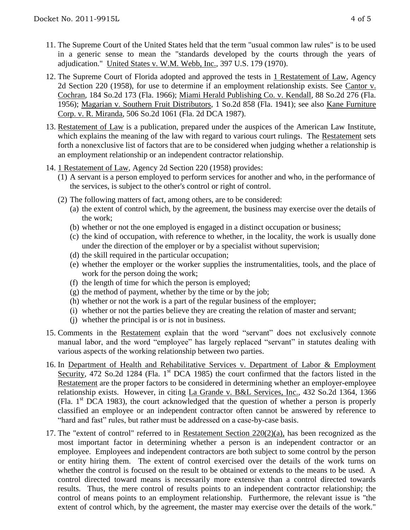- 11. The Supreme Court of the United States held that the term "usual common law rules" is to be used in a generic sense to mean the "standards developed by the courts through the years of adjudication." United States v. W.M. Webb, Inc., 397 U.S. 179 (1970).
- 12. The Supreme Court of Florida adopted and approved the tests in 1 Restatement of Law, Agency 2d Section 220 (1958), for use to determine if an employment relationship exists. See Cantor v. Cochran, 184 So.2d 173 (Fla. 1966); Miami Herald Publishing Co. v. Kendall, 88 So.2d 276 (Fla. 1956); Magarian v. Southern Fruit Distributors, 1 So.2d 858 (Fla. 1941); see also Kane Furniture Corp. v. R. Miranda, 506 So.2d 1061 (Fla. 2d DCA 1987).
- 13. Restatement of Law is a publication, prepared under the auspices of the American Law Institute, which explains the meaning of the law with regard to various court rulings. The Restatement sets forth a nonexclusive list of factors that are to be considered when judging whether a relationship is an employment relationship or an independent contractor relationship.
- 14. 1 Restatement of Law, Agency 2d Section 220 (1958) provides:
	- (1) A servant is a person employed to perform services for another and who, in the performance of the services, is subject to the other's control or right of control.
	- (2) The following matters of fact, among others, are to be considered:
		- (a) the extent of control which, by the agreement, the business may exercise over the details of the work;
		- (b) whether or not the one employed is engaged in a distinct occupation or business;
		- (c) the kind of occupation, with reference to whether, in the locality, the work is usually done under the direction of the employer or by a specialist without supervision;
		- (d) the skill required in the particular occupation;
		- (e) whether the employer or the worker supplies the instrumentalities, tools, and the place of work for the person doing the work;
		- (f) the length of time for which the person is employed;
		- $(g)$  the method of payment, whether by the time or by the job;
		- (h) whether or not the work is a part of the regular business of the employer;
		- (i) whether or not the parties believe they are creating the relation of master and servant;
		- (j) whether the principal is or is not in business.
- 15. Comments in the Restatement explain that the word "servant" does not exclusively connote manual labor, and the word "employee" has largely replaced "servant" in statutes dealing with various aspects of the working relationship between two parties.
- 16. In Department of Health and Rehabilitative Services v. Department of Labor & Employment Security, 472 So.2d 1284 (Fla. 1<sup>st</sup> DCA 1985) the court confirmed that the factors listed in the Restatement are the proper factors to be considered in determining whether an employer-employee relationship exists. However, in citing La Grande v. B&L Services, Inc., 432 So.2d 1364, 1366 (Fla.  $1<sup>st</sup> DCA$  1983), the court acknowledged that the question of whether a person is properly classified an employee or an independent contractor often cannot be answered by reference to "hard and fast" rules, but rather must be addressed on a case-by-case basis.
- 17. The "extent of control" referred to in Restatement Section  $220(2)(a)$ , has been recognized as the most important factor in determining whether a person is an independent contractor or an employee. Employees and independent contractors are both subject to some control by the person or entity hiring them. The extent of control exercised over the details of the work turns on whether the control is focused on the result to be obtained or extends to the means to be used. A control directed toward means is necessarily more extensive than a control directed towards results. Thus, the mere control of results points to an independent contractor relationship; the control of means points to an employment relationship. Furthermore, the relevant issue is "the extent of control which, by the agreement, the master may exercise over the details of the work."